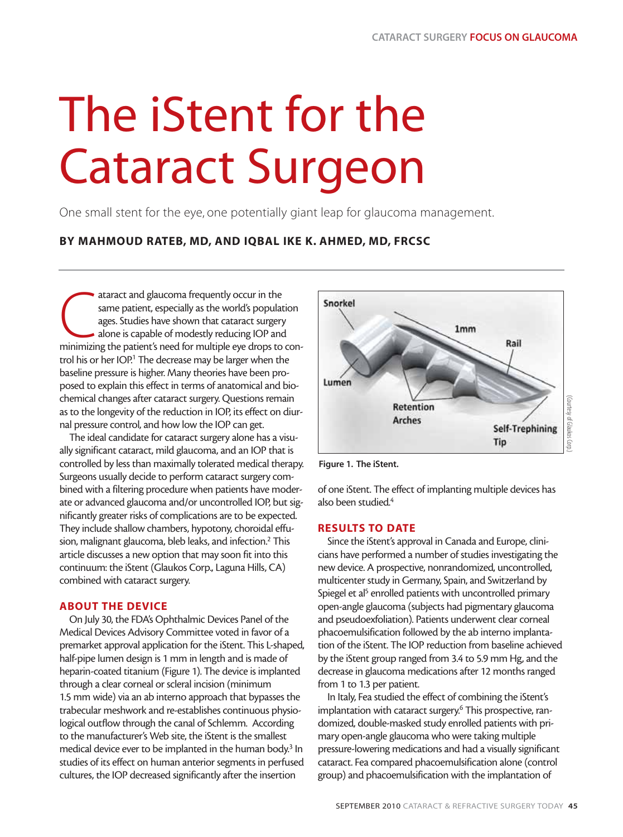# The iStent for the Cataract Surgeon

One small stent for the eye, one potentially giant leap for glaucoma management.

### **BY MAHMOUD RATEB, MD, AND IQBAL IKE K. AHMED, MD, FRCSC**

ataract and glaucoma frequently occur in the<br>same patient, especially as the world's population<br>ages. Studies have shown that cataract surgery<br>alone is capable of modestly reducing IOP and<br>minimizing the patient's need for ataract and glaucoma frequently occur in the same patient, especially as the world's population ages. Studies have shown that cataract surgery alone is capable of modestly reducing IOP and trol his or her IOP.<sup>1</sup> The decrease may be larger when the baseline pressure is higher. Many theories have been proposed to explain this effect in terms of anatomical and biochemical changes after cataract surgery. Questions remain as to the longevity of the reduction in IOP, its effect on diurnal pressure control, and how low the IOP can get.

The ideal candidate for cataract surgery alone has a visually significant cataract, mild glaucoma, and an IOP that is controlled by less than maximally tolerated medical therapy. Surgeons usually decide to perform cataract surgery combined with a filtering procedure when patients have moderate or advanced glaucoma and/or uncontrolled IOP, but significantly greater risks of complications are to be expected. They include shallow chambers, hypotony, choroidal effusion, malignant glaucoma, bleb leaks, and infection.<sup>2</sup> This article discusses a new option that may soon fit into this continuum: the iStent (Glaukos Corp., Laguna Hills, CA) combined with cataract surgery.

#### **ABOUT THE DEVICE**

On July 30, the FDA's Ophthalmic Devices Panel of the Medical Devices Advisory Committee voted in favor of a premarket approval application for the iStent. This L-shaped, half-pipe lumen design is 1 mm in length and is made of heparin-coated titanium (Figure 1). The device is implanted through a clear corneal or scleral incision (minimum 1.5 mm wide) via an ab interno approach that bypasses the trabecular meshwork and re-establishes continuous physiological outflow through the canal of Schlemm. According to the manufacturer's Web site, the iStent is the smallest medical device ever to be implanted in the human body.<sup>3</sup> In studies of its effect on human anterior segments in perfused cultures, the IOP decreased significantly after the insertion



**Figure 1. The iStent.**

of one iStent. The effect of implanting multiple devices has also been studied.<sup>4</sup>

### **RESULTS TO DATE**

Since the iStent's approval in Canada and Europe, clinicians have performed a number of studies investigating the new device. A prospective, nonrandomized, uncontrolled, multicenter study in Germany, Spain, and Switzerland by Spiegel et al<sup>5</sup> enrolled patients with uncontrolled primary open-angle glaucoma (subjects had pigmentary glaucoma and pseudoexfoliation). Patients underwent clear corneal phacoemulsification followed by the ab interno implantation of the iStent. The IOP reduction from baseline achieved by the iStent group ranged from 3.4 to 5.9 mm Hg, and the decrease in glaucoma medications after 12 months ranged from 1 to 1.3 per patient.

In Italy, Fea studied the effect of combining the iStent's implantation with cataract surgery.<sup>6</sup> This prospective, randomized, double-masked study enrolled patients with primary open-angle glaucoma who were taking multiple pressure-lowering medications and had a visually significant cataract. Fea compared phacoemulsification alone (control group) and phacoemulsification with the implantation of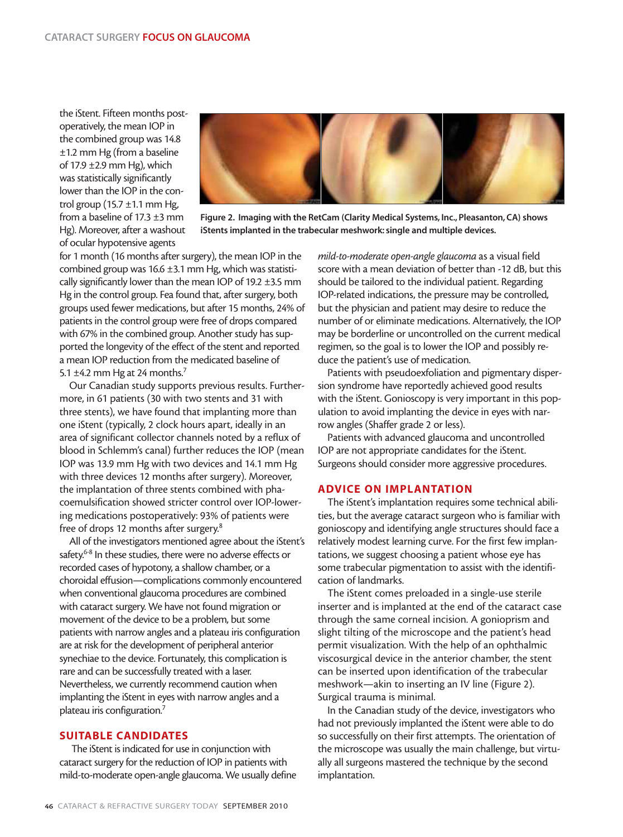the iStent. Fifteen months postoperatively, the mean IOP in the combined group was 14.8 ±1.2 mm Hg (from a baseline of 17.9 ±2.9 mm Hg), which was statistically significantly lower than the IOP in the control group (15.7  $\pm$ 1.1 mm Hg, from a baseline of 17.3 ±3 mm Hg). Moreover, after a washout of ocular hypotensive agents



**Figure 2. Imaging with the RetCam (Clarity Medical Systems, Inc., Pleasanton, CA) shows iStents implanted in the trabecular meshwork: single and multiple devices.**

for 1 month (16 months after surgery), the mean IOP in the combined group was 16.6  $\pm$ 3.1 mm Hg, which was statistically significantly lower than the mean IOP of 19.2  $\pm$ 3.5 mm Hg in the control group. Fea found that, after surgery, both groups used fewer medications, but after 15 months, 24% of patients in the control group were free of drops compared with 67% in the combined group. Another study has supported the longevity of the effect of the stent and reported a mean IOP reduction from the medicated baseline of 5.1  $\pm$ 4.2 mm Hg at 24 months.<sup>7</sup>

Our Canadian study supports previous results. Furthermore, in 61 patients (30 with two stents and 31 with three stents), we have found that implanting more than one iStent (typically, 2 clock hours apart, ideally in an area of significant collector channels noted by a reflux of blood in Schlemm's canal) further reduces the IOP (mean IOP was 13.9 mm Hg with two devices and 14.1 mm Hg with three devices 12 months after surgery). Moreover, the implantation of three stents combined with phacoemulsification showed stricter control over IOP-lowering medications postoperatively: 93% of patients were free of drops 12 months after surgery.<sup>8</sup>

All of the investigators mentioned agree about the iStent's safety.<sup>6-8</sup> In these studies, there were no adverse effects or recorded cases of hypotony, a shallow chamber, or a choroidal effusion—complications commonly encountered when conventional glaucoma procedures are combined with cataract surgery. We have not found migration or movement of the device to be a problem, but some patients with narrow angles and a plateau iris configuration are at risk for the development of peripheral anterior synechiae to the device. Fortunately, this complication is rare and can be successfully treated with a laser. Nevertheless, we currently recommend caution when implanting the iStent in eyes with narrow angles and a plateau iris configuration.7

#### **SUITABLE CANDIDATES**

The iStent is indicated for use in conjunction with cataract surgery for the reduction of IOP in patients with mild-to-moderate open-angle glaucoma. We usually define *mild-to-moderate open-angle glaucoma* as a visual field score with a mean deviation of better than -12 dB, but this should be tailored to the individual patient. Regarding IOP-related indications, the pressure may be controlled, but the physician and patient may desire to reduce the number of or eliminate medications. Alternatively, the IOP may be borderline or uncontrolled on the current medical regimen, so the goal is to lower the IOP and possibly reduce the patient's use of medication.

Patients with pseudoexfoliation and pigmentary dispersion syndrome have reportedly achieved good results with the iStent. Gonioscopy is very important in this population to avoid implanting the device in eyes with narrow angles (Shaffer grade 2 or less).

Patients with advanced glaucoma and uncontrolled IOP are not appropriate candidates for the iStent. Surgeons should consider more aggressive procedures.

#### **ADVICE ON IMPLANTATION**

The iStent's implantation requires some technical abilities, but the average cataract surgeon who is familiar with gonioscopy and identifying angle structures should face a relatively modest learning curve. For the first few implantations, we suggest choosing a patient whose eye has some trabecular pigmentation to assist with the identification of landmarks.

The iStent comes preloaded in a single-use sterile inserter and is implanted at the end of the cataract case through the same corneal incision. A gonioprism and slight tilting of the microscope and the patient's head permit visualization. With the help of an ophthalmic viscosurgical device in the anterior chamber, the stent can be inserted upon identification of the trabecular meshwork—akin to inserting an IV line (Figure 2). Surgical trauma is minimal.

In the Canadian study of the device, investigators who had not previously implanted the iStent were able to do so successfully on their first attempts. The orientation of the microscope was usually the main challenge, but virtually all surgeons mastered the technique by the second implantation.